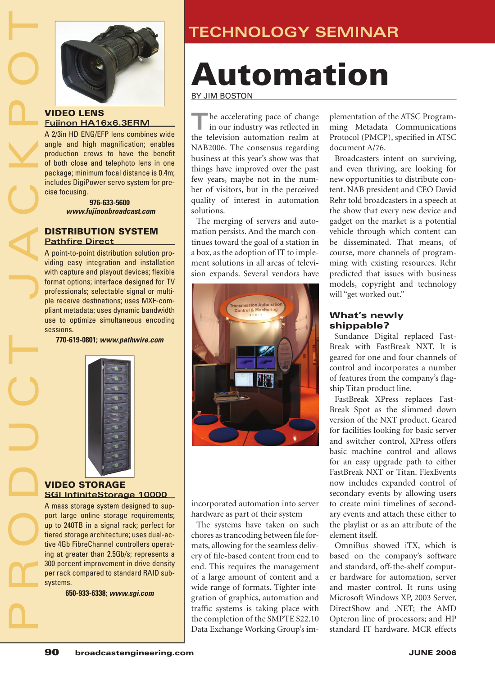

### VIDEO LENS **Fujinon HA16x6.3ERM**

A 2/3in HD ENG/EFP lens combines wide angle and high magnification; enables production crews to have the benefit of both close and telephoto lens in one package; minimum focal distance is 0.4m; includes DigiPower servo system for precise focusing.

> **976-633-5600 www.fujinonbroadcast.com**

#### DISTRIBUTION SYSTEM **Pathfire Direct**

A point-to-point distribution solution providing easy integration and installation with capture and playout devices; flexible format options; interface designed for TV professionals; selectable signal or multiple receive destinations; uses MXF-compliant metadata; uses dynamic bandwidth use to optimize simultaneous encoding sessions.

**770-619-0801; www.pathwire.com**



#### VIDEO STORAGE **SGI InfiniteStorage 10000**

A mass storage system designed to support large online storage requirements; up to 240TB in a signal rack; perfect for tiered storage architecture; uses dual-active 4Gb FibreChannel controllers operating at greater than 2.5Gb/s; represents a 300 percent improvement in drive density per rack compared to standard RAID subsystems.

**650-933-6338; www.sgi.com**

# **TECHNOLOGY SEMINAR**

# Automation

BY JIM BOSTON

**T**he accelerating pace of change in our industry was reflected in the television automation realm at NAB2006. The consensus regarding business at this year's show was that things have improved over the past few years, maybe not in the number of visitors, but in the perceived quality of interest in automation solutions.

The merging of servers and automation persists. And the march continues toward the goal of a station in a box, as the adoption of IT to implement solutions in all areas of television expands. Several vendors have



incorporated automation into server hardware as part of their system

The systems have taken on such chores as trancoding between file formats, allowing for the seamless deliverv of file-based content from end to end. This requires the management of a large amount of content and a wide range of formats. Tighter integration of graphics, automation and traffic systems is taking place with the completion of the SMPTE S22.10 Data Exchange Working Group's implementation of the ATSC Programming Metadata Communications Protocol (PMCP), specified in ATSC document A/76.

Broadcasters intent on surviving, and even thriving, are looking for new opportunities to distribute content. NAB president and CEO David Rehr told broadcasters in a speech at the show that every new device and gadget on the market is a potential vehicle through which content can be disseminated. That means, of course, more channels of programming with existing resources. Rehr predicted that issues with business models, copyright and technology will "get worked out."

## What's newly shippable?

Sundance Digital replaced Fast-Break with FastBreak NXT. It is geared for one and four channels of control and incorporates a number of features from the company's flagship Titan product line.

FastBreak XPress replaces Fast-Break Spot as the slimmed down version of the NXT product. Geared for facilities looking for basic server and switcher control, XPress offers basic machine control and allows for an easy upgrade path to either FastBreak NXT or Titan. FlexEvents now includes expanded control of secondary events by allowing users to create mini timelines of secondary events and attach these either to the playlist or as an attribute of the element itself.

OmniBus showed iTX, which is based on the company's software and standard, off-the-shelf computer hardware for automation, server and master control. It runs using Microsoft Windows XP, 2003 Server, DirectShow and .NET; the AMD Opteron line of processors; and HP standard IT hardware. MCR effects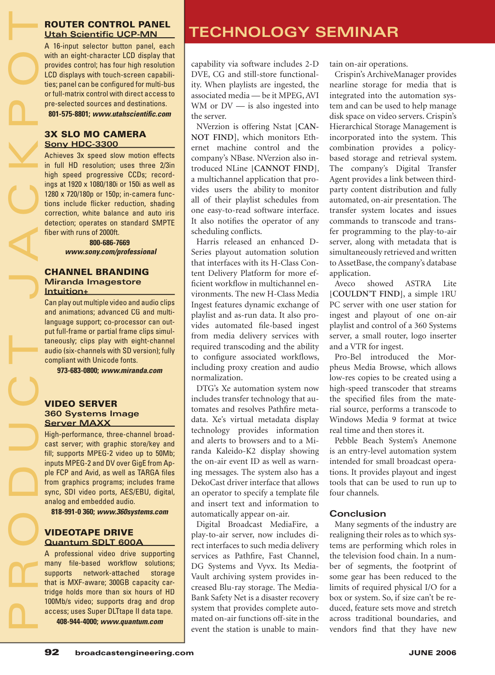A 16-input selector button panel, each with an eight-character LCD display that provides control; has four high resolution LCD displays with touch-screen capabilities; panel can be configured for multi-bus or full-matrix control with direct access to pre-selected sources and destinations. **801-575-8801; www.utahscientifi c.com**

3X SLO MO CAMERA **Sony HDC-3300**

Achieves 3x speed slow motion effects in full HD resolution; uses three 2/3in high speed progressive CCDs; recordings at 1920 x 1080/180i or 150i as well as 1280 x 720/180p or 150p; in-camera functions include flicker reduction, shading correction, white balance and auto iris detection; operates on standard SMPTE fiber with runs of 2000ft.

> **800-686-7669 www.sony.com/professional**

#### CHANNEL BRANDING **Miranda Imagestore Intuition+**

Can play out multiple video and audio clips and animations; advanced CG and multilanguage support; co-processor can output full-frame or partial frame clips simultaneously; clips play with eight-channel audio (six-channels with SD version); fully compliant with Unicode fonts.

**973-683-0800; www.miranda.com**

#### VIDEO SERVER **360 Systems Image Server MAXX**

High-performance, three-channel broadcast server; with graphic store/key and fill; supports MPEG-2 video up to 50Mb; inputs MPEG-2 and DV over GigE from Apple FCP and Avid, as well as TARGA files from graphics programs; includes frame sync, SDI video ports, AES/EBU, digital, analog and embedded audio.

**818-991-0 360; www.360systems.com**

#### VIDEOTAPE DRIVE **Quantum SDLT 600A**

A professional video drive supporting many file-based workflow solutions; supports network-attached storage that is MXF-aware; 300GB capacity cartridge holds more than six hours of HD 100Mb/s video; supports drag and drop access; uses Super DLTtape II data tape.

**408-944-4000; www.quantum.com**

# ROUTER CONTROL PANEL<br>Utah Scientific UCP-MN**NOLOGIER SEMINAR**

capability via software includes 2-D DVE, CG and still-store functionality. When playlists are ingested, the associated media — be it MPEG, AVI WM or  $DV$  — is also ingested into the server.

NVerzion is offering Nstat **[CAN-NOT FIND]**, which monitors Ethernet machine control and the company's NBase. NVerzion also introduced NLine **[CANNOT FIND]**, a multichannel application that provides users the ability to monitor all of their playlist schedules from one easy-to-read software interface. It also notifies the operator of any scheduling conflicts.

Harris released an enhanced D-Series playout automation solution that interfaces with its H-Class Content Delivery Platform for more efficient workflow in multichannel environments. The new H-Class Media Ingest features dynamic exchange of playlist and as-run data. It also provides automated file-based ingest from media delivery services with required transcoding and the ability to configure associated workflows, including proxy creation and audio normalization.

DTG's Xe automation system now includes transfer technology that automates and resolves Pathfire metadata. Xe's virtual metadata display technology provides information and alerts to browsers and to a Miranda Kaleido-K2 display showing the on-air event ID as well as warning messages. The system also has a DekoCast driver interface that allows an operator to specify a template file and insert text and information to automatically appear on-air.

Digital Broadcast MediaFire, a play-to-air server, now includes direct interfaces to such media delivery services as Pathfire, Fast Channel, DG Systems and Vyvx. Its Media-Vault archiving system provides increased Blu-ray storage. The Media-Bank Safety Net is a disaster recovery system that provides complete automated on-air functions off-site in the event the station is unable to maintain on-air operations.

Crispin's ArchiveManager provides nearline storage for media that is integrated into the automation system and can be used to help manage disk space on video servers. Crispin's Hierarchical Storage Management is incorporated into the system. This combination provides a policybased storage and retrieval system. The company's Digital Transfer Agent provides a link between thirdparty content distribution and fully automated, on-air presentation. The transfer system locates and issues commands to transcode and transfer programming to the play-to-air server, along with metadata that is simultaneously retrieved and written to AssetBase, the company's database application.

Aveco showed ASTRA Lite **[COULDN'T FIND]**, a simple 1RU PC server with one user station for ingest and playout of one on-air playlist and control of a 360 Systems server, a small router, logo inserter and a VTR for ingest.

Pro-Bel introduced the Morpheus Media Browse, which allows low-res copies to be created using a high-speed transcoder that streams the specified files from the material source, performs a transcode to Windows Media 9 format at twice real time and then stores it.

Pebble Beach System's Anemone is an entry-level automation system intended for small broadcast operations. It provides playout and ingest tools that can be used to run up to four channels.

## **Conclusion**

Many segments of the industry are realigning their roles as to which systems are performing which roles in the television food chain. In a number of segments, the footprint of some gear has been reduced to the limits of required physical I/O for a box or system. So, if size can't be reduced, feature sets move and stretch across traditional boundaries, and vendors find that they have new